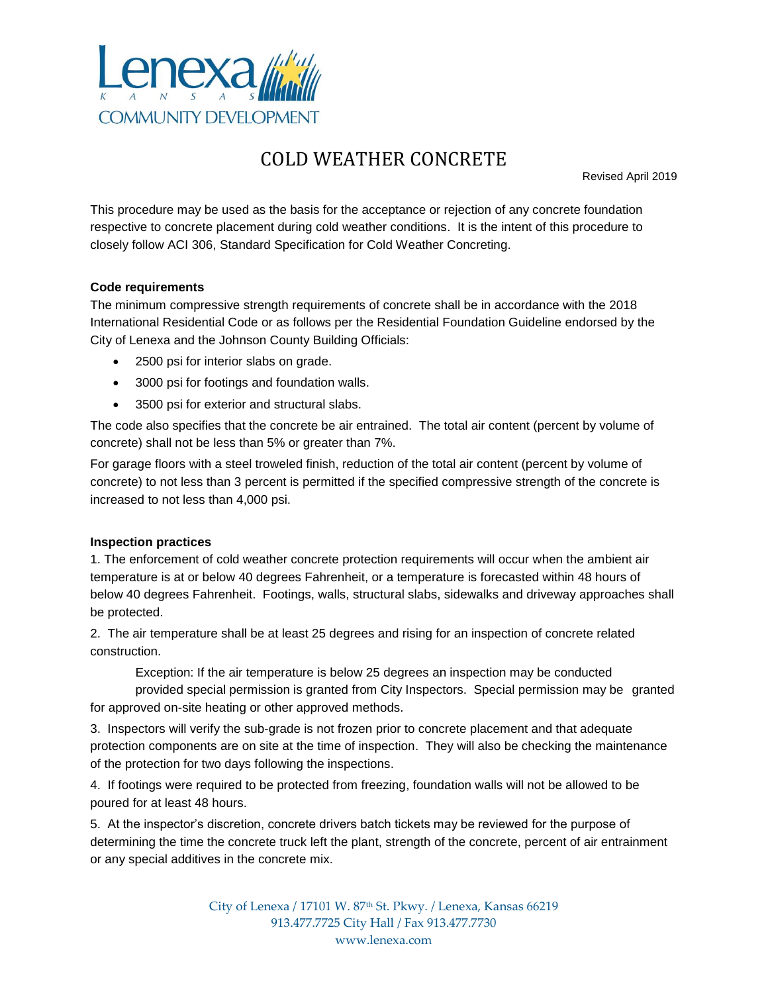

## COLD WEATHER CONCRETE

Revised April 2019

This procedure may be used as the basis for the acceptance or rejection of any concrete foundation respective to concrete placement during cold weather conditions. It is the intent of this procedure to closely follow ACI 306, Standard Specification for Cold Weather Concreting.

## **Code requirements**

The minimum compressive strength requirements of concrete shall be in accordance with the 2018 International Residential Code or as follows per the Residential Foundation Guideline endorsed by the City of Lenexa and the Johnson County Building Officials:

- 2500 psi for interior slabs on grade.
- 3000 psi for footings and foundation walls.
- 3500 psi for exterior and structural slabs.

The code also specifies that the concrete be air entrained. The total air content (percent by volume of concrete) shall not be less than 5% or greater than 7%.

For garage floors with a steel troweled finish, reduction of the total air content (percent by volume of concrete) to not less than 3 percent is permitted if the specified compressive strength of the concrete is increased to not less than 4,000 psi.

## **Inspection practices**

1. The enforcement of cold weather concrete protection requirements will occur when the ambient air temperature is at or below 40 degrees Fahrenheit, or a temperature is forecasted within 48 hours of below 40 degrees Fahrenheit. Footings, walls, structural slabs, sidewalks and driveway approaches shall be protected.

2. The air temperature shall be at least 25 degrees and rising for an inspection of concrete related construction.

Exception: If the air temperature is below 25 degrees an inspection may be conducted provided special permission is granted from City Inspectors. Special permission may be granted for approved on-site heating or other approved methods.

3. Inspectors will verify the sub-grade is not frozen prior to concrete placement and that adequate protection components are on site at the time of inspection. They will also be checking the maintenance of the protection for two days following the inspections.

4. If footings were required to be protected from freezing, foundation walls will not be allowed to be poured for at least 48 hours.

5. At the inspector's discretion, concrete drivers batch tickets may be reviewed for the purpose of determining the time the concrete truck left the plant, strength of the concrete, percent of air entrainment or any special additives in the concrete mix.

> City of Lenexa / 17101 W. 87th St. Pkwy. / Lenexa, Kansas 66219 913.477.7725 City Hall / Fax 913.477.7730 www.lenexa.com